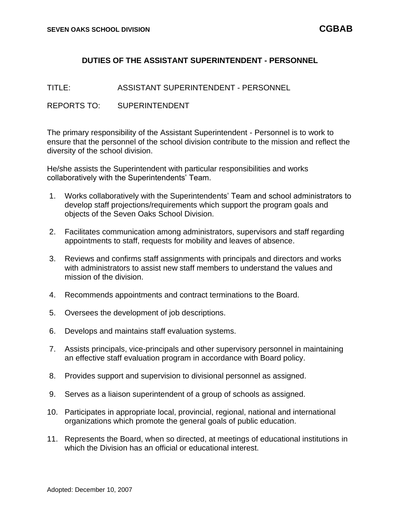## **DUTIES OF THE ASSISTANT SUPERINTENDENT - PERSONNEL**

TITLE: ASSISTANT SUPERINTENDENT - PERSONNEL

REPORTS TO: SUPERINTENDENT

The primary responsibility of the Assistant Superintendent - Personnel is to work to ensure that the personnel of the school division contribute to the mission and reflect the diversity of the school division.

He/she assists the Superintendent with particular responsibilities and works collaboratively with the Superintendents' Team.

- 1. Works collaboratively with the Superintendents' Team and school administrators to develop staff projections/requirements which support the program goals and objects of the Seven Oaks School Division.
- 2. Facilitates communication among administrators, supervisors and staff regarding appointments to staff, requests for mobility and leaves of absence.
- 3. Reviews and confirms staff assignments with principals and directors and works with administrators to assist new staff members to understand the values and mission of the division.
- 4. Recommends appointments and contract terminations to the Board.
- 5. Oversees the development of job descriptions.
- 6. Develops and maintains staff evaluation systems.
- 7. Assists principals, vice-principals and other supervisory personnel in maintaining an effective staff evaluation program in accordance with Board policy.
- 8. Provides support and supervision to divisional personnel as assigned.
- 9. Serves as a liaison superintendent of a group of schools as assigned.
- 10. Participates in appropriate local, provincial, regional, national and international organizations which promote the general goals of public education.
- 11. Represents the Board, when so directed, at meetings of educational institutions in which the Division has an official or educational interest.